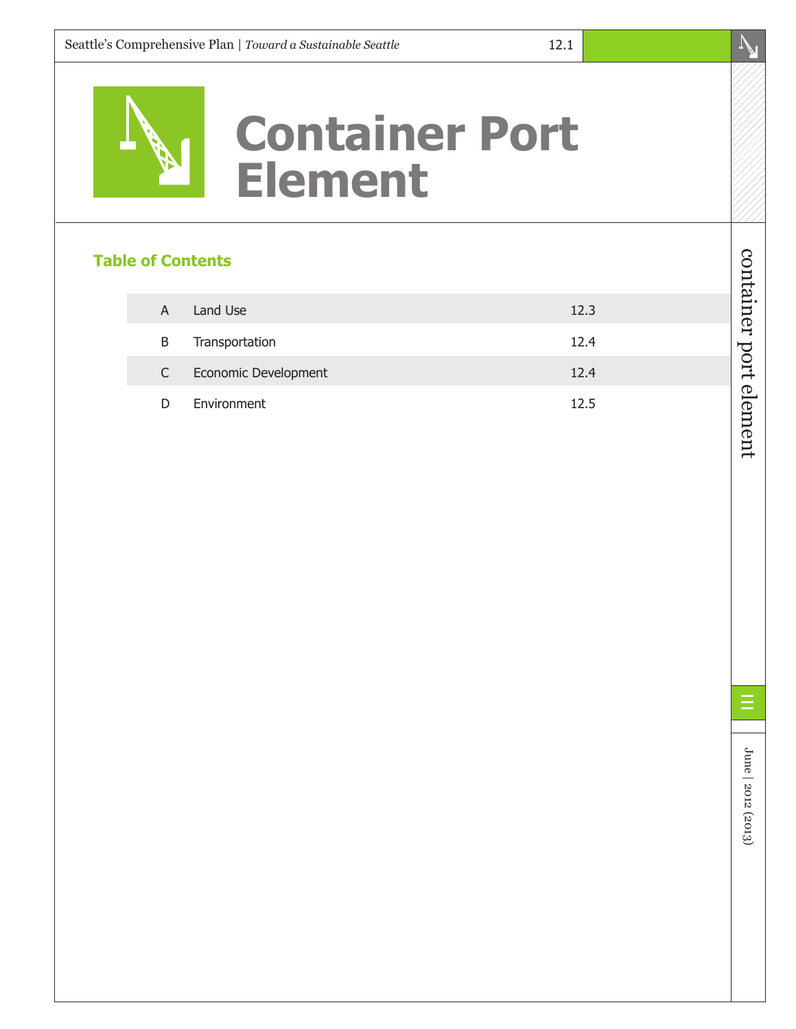# **Container Port Element**

#### **Table of Contents**

| A  | Land Use             | 12.3 |
|----|----------------------|------|
| B  | Transportation       | 12.4 |
| C. | Economic Development | 12.4 |
| D  | Environment          | 12.5 |

container port element

container port element

June | 2012 (2013)

June | 2012 (2013)

E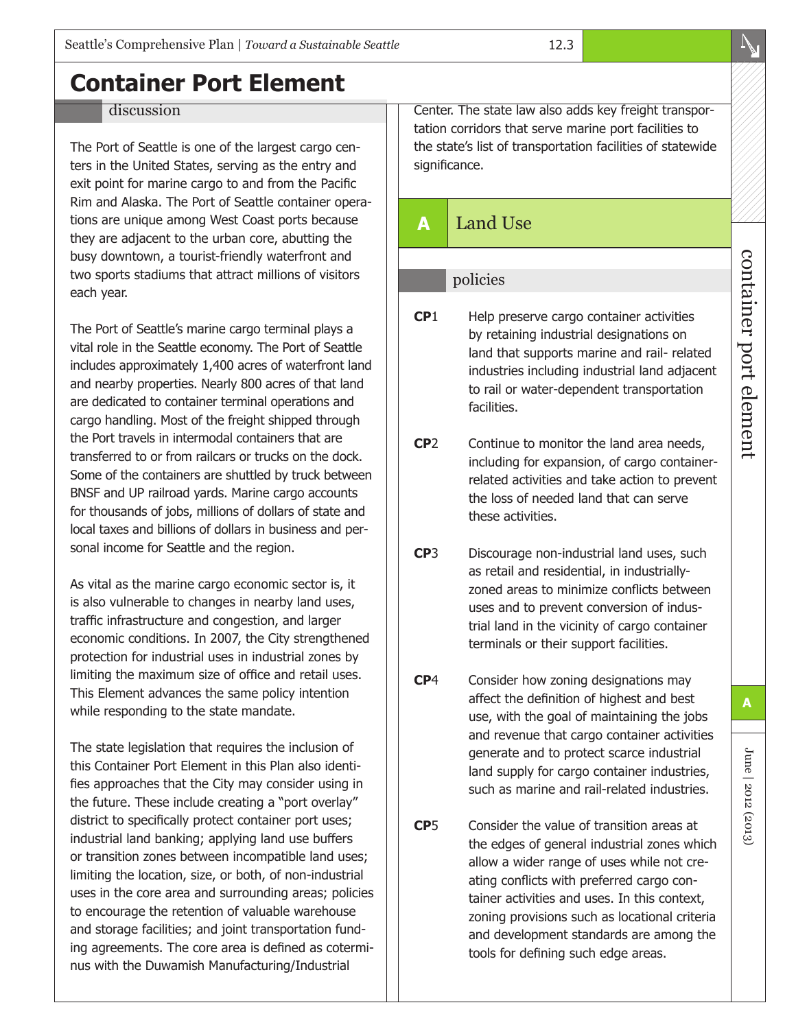## **Container Port Element**

#### discussion

The Port of Seattle is one of the largest cargo centers in the United States, serving as the entry and exit point for marine cargo to and from the Pacific Rim and Alaska. The Port of Seattle container operations are unique among West Coast ports because they are adjacent to the urban core, abutting the busy downtown, a tourist-friendly waterfront and two sports stadiums that attract millions of visitors each year.

The Port of Seattle's marine cargo terminal plays a vital role in the Seattle economy. The Port of Seattle includes approximately 1,400 acres of waterfront land and nearby properties. Nearly 800 acres of that land are dedicated to container terminal operations and cargo handling. Most of the freight shipped through the Port travels in intermodal containers that are transferred to or from railcars or trucks on the dock. Some of the containers are shuttled by truck between BNSF and UP railroad yards. Marine cargo accounts for thousands of jobs, millions of dollars of state and local taxes and billions of dollars in business and personal income for Seattle and the region.

As vital as the marine cargo economic sector is, it is also vulnerable to changes in nearby land uses, traffic infrastructure and congestion, and larger economic conditions. In 2007, the City strengthened protection for industrial uses in industrial zones by limiting the maximum size of office and retail uses. This Element advances the same policy intention while responding to the state mandate.

The state legislation that requires the inclusion of this Container Port Element in this Plan also identifies approaches that the City may consider using in the future. These include creating a "port overlay" district to specifically protect container port uses; industrial land banking; applying land use buffers or transition zones between incompatible land uses; limiting the location, size, or both, of non-industrial uses in the core area and surrounding areas; policies to encourage the retention of valuable warehouse and storage facilities; and joint transportation funding agreements. The core area is defined as coterminus with the Duwamish Manufacturing/Industrial

Center. The state law also adds key freight transportation corridors that serve marine port facilities to the state's list of transportation facilities of statewide significance.

12.3

### **A** Land Use

#### policies

- **CP**1 Help preserve cargo container activities by retaining industrial designations on land that supports marine and rail- related industries including industrial land adjacent to rail or water-dependent transportation facilities.
- **CP**2 Continue to monitor the land area needs, including for expansion, of cargo containerrelated activities and take action to prevent the loss of needed land that can serve these activities.
- **CP**3 Discourage non-industrial land uses, such as retail and residential, in industriallyzoned areas to minimize conflicts between uses and to prevent conversion of industrial land in the vicinity of cargo container terminals or their support facilities.
- **CP**4 Consider how zoning designations may affect the definition of highest and best use, with the goal of maintaining the jobs and revenue that cargo container activities generate and to protect scarce industrial land supply for cargo container industries, such as marine and rail-related industries.
- **CP**5 Consider the value of transition areas at the edges of general industrial zones which allow a wider range of uses while not creating conflicts with preferred cargo container activities and uses. In this context, zoning provisions such as locational criteria and development standards are among the tools for defining such edge areas.

June | 2012 (2013)

June | 2012 (2013)

**A**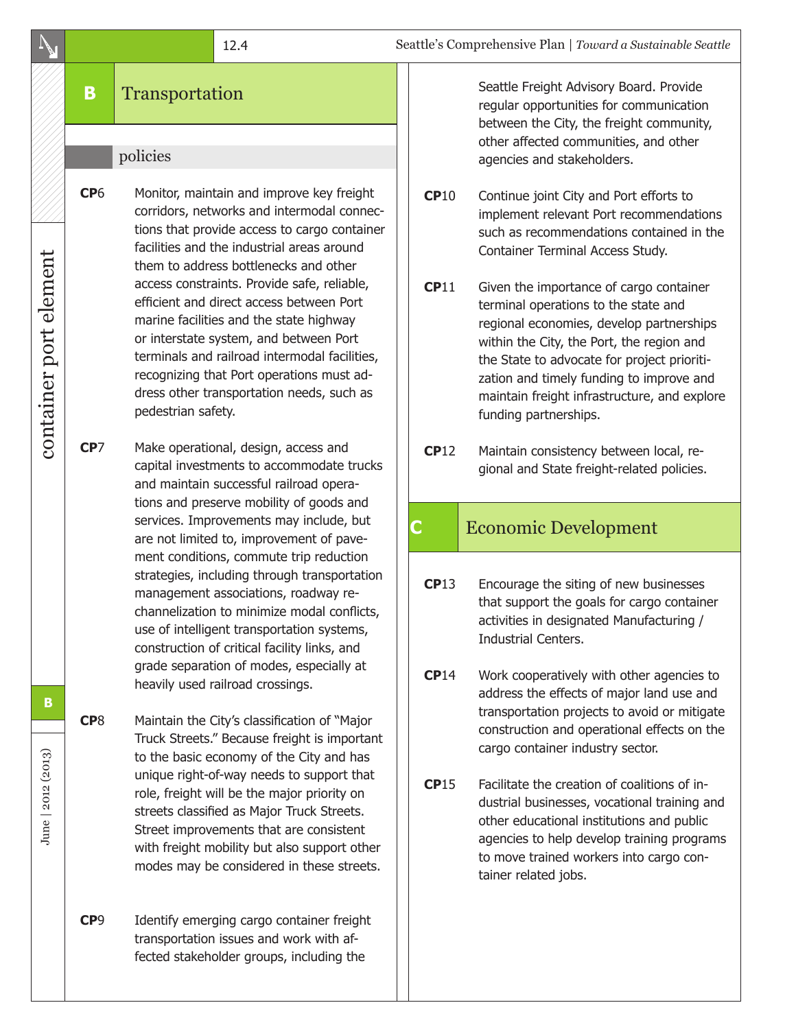#### **B** Transportation

#### policies

**CP**6 Monitor, maintain and improve key freight corridors, networks and intermodal connections that provide access to cargo container facilities and the industrial areas around them to address bottlenecks and other access constraints. Provide safe, reliable, efficient and direct access between Port marine facilities and the state highway or interstate system, and between Port terminals and railroad intermodal facilities, recognizing that Port operations must address other transportation needs, such as pedestrian safety.

**CP**7 Make operational, design, access and capital investments to accommodate trucks and maintain successful railroad operations and preserve mobility of goods and services. Improvements may include, but are not limited to, improvement of pavement conditions, commute trip reduction strategies, including through transportation management associations, roadway rechannelization to minimize modal conflicts, use of intelligent transportation systems, construction of critical facility links, and grade separation of modes, especially at heavily used railroad crossings.

**CP**8 Maintain the City's classification of "Major Truck Streets." Because freight is important to the basic economy of the City and has unique right-of-way needs to support that role, freight will be the major priority on streets classified as Major Truck Streets. Street improvements that are consistent with freight mobility but also support other modes may be considered in these streets.

**CP**9 Identify emerging cargo container freight transportation issues and work with affected stakeholder groups, including the

Seattle Freight Advisory Board. Provide regular opportunities for communication between the City, the freight community, other affected communities, and other agencies and stakeholders.

- **CP**10 Continue joint City and Port efforts to implement relevant Port recommendations such as recommendations contained in the Container Terminal Access Study.
- **CP**11 Given the importance of cargo container terminal operations to the state and regional economies, develop partnerships within the City, the Port, the region and the State to advocate for project prioritization and timely funding to improve and maintain freight infrastructure, and explore funding partnerships.
- **CP**12 Maintain consistency between local, regional and State freight-related policies.

#### **C** Economic Development

- **CP**13 Encourage the siting of new businesses that support the goals for cargo container activities in designated Manufacturing / Industrial Centers.
- **CP**14 Work cooperatively with other agencies to address the effects of major land use and transportation projects to avoid or mitigate construction and operational effects on the cargo container industry sector.
- **CP**15 Facilitate the creation of coalitions of industrial businesses, vocational training and other educational institutions and public agencies to help develop training programs to move trained workers into cargo container related jobs.

June | 2012 (2013)

June | 2012 (2013)